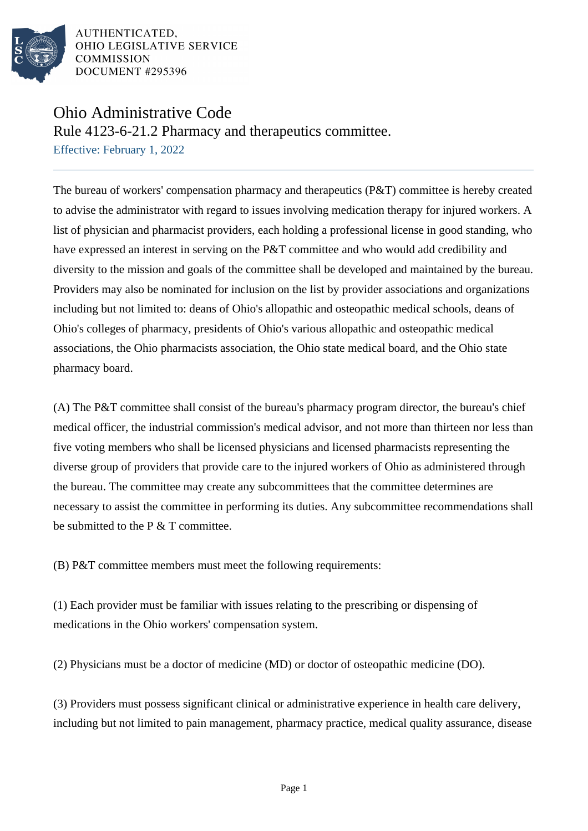

AUTHENTICATED. OHIO LEGISLATIVE SERVICE **COMMISSION** DOCUMENT #295396

## Ohio Administrative Code

Rule 4123-6-21.2 Pharmacy and therapeutics committee.

Effective: February 1, 2022

The bureau of workers' compensation pharmacy and therapeutics (P&T) committee is hereby created to advise the administrator with regard to issues involving medication therapy for injured workers. A list of physician and pharmacist providers, each holding a professional license in good standing, who have expressed an interest in serving on the P&T committee and who would add credibility and diversity to the mission and goals of the committee shall be developed and maintained by the bureau. Providers may also be nominated for inclusion on the list by provider associations and organizations including but not limited to: deans of Ohio's allopathic and osteopathic medical schools, deans of Ohio's colleges of pharmacy, presidents of Ohio's various allopathic and osteopathic medical associations, the Ohio pharmacists association, the Ohio state medical board, and the Ohio state pharmacy board.

(A) The P&T committee shall consist of the bureau's pharmacy program director, the bureau's chief medical officer, the industrial commission's medical advisor, and not more than thirteen nor less than five voting members who shall be licensed physicians and licensed pharmacists representing the diverse group of providers that provide care to the injured workers of Ohio as administered through the bureau. The committee may create any subcommittees that the committee determines are necessary to assist the committee in performing its duties. Any subcommittee recommendations shall be submitted to the P & T committee.

(B) P&T committee members must meet the following requirements:

(1) Each provider must be familiar with issues relating to the prescribing or dispensing of medications in the Ohio workers' compensation system.

(2) Physicians must be a doctor of medicine (MD) or doctor of osteopathic medicine (DO).

(3) Providers must possess significant clinical or administrative experience in health care delivery, including but not limited to pain management, pharmacy practice, medical quality assurance, disease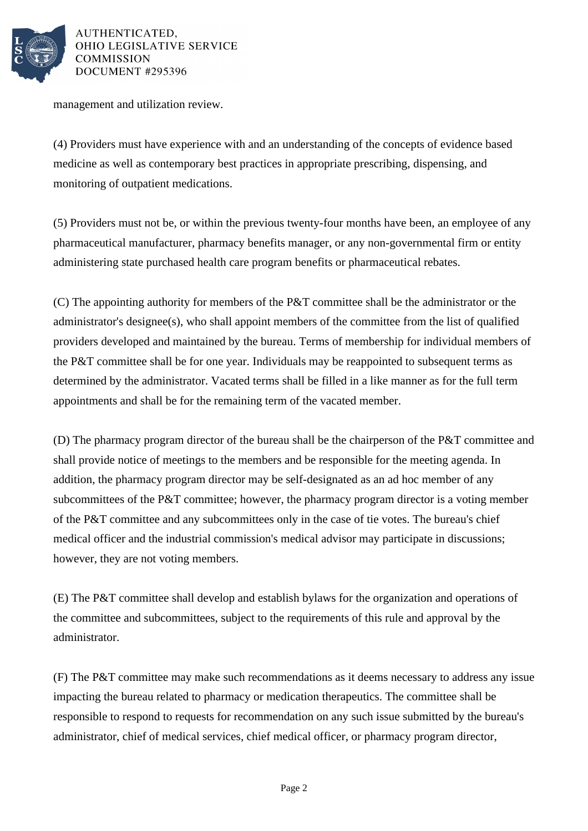

AUTHENTICATED. OHIO LEGISLATIVE SERVICE **COMMISSION** DOCUMENT #295396

management and utilization review.

(4) Providers must have experience with and an understanding of the concepts of evidence based medicine as well as contemporary best practices in appropriate prescribing, dispensing, and monitoring of outpatient medications.

(5) Providers must not be, or within the previous twenty-four months have been, an employee of any pharmaceutical manufacturer, pharmacy benefits manager, or any non-governmental firm or entity administering state purchased health care program benefits or pharmaceutical rebates.

(C) The appointing authority for members of the P&T committee shall be the administrator or the administrator's designee(s), who shall appoint members of the committee from the list of qualified providers developed and maintained by the bureau. Terms of membership for individual members of the P&T committee shall be for one year. Individuals may be reappointed to subsequent terms as determined by the administrator. Vacated terms shall be filled in a like manner as for the full term appointments and shall be for the remaining term of the vacated member.

(D) The pharmacy program director of the bureau shall be the chairperson of the P&T committee and shall provide notice of meetings to the members and be responsible for the meeting agenda. In addition, the pharmacy program director may be self-designated as an ad hoc member of any subcommittees of the P&T committee; however, the pharmacy program director is a voting member of the P&T committee and any subcommittees only in the case of tie votes. The bureau's chief medical officer and the industrial commission's medical advisor may participate in discussions; however, they are not voting members.

(E) The P&T committee shall develop and establish bylaws for the organization and operations of the committee and subcommittees, subject to the requirements of this rule and approval by the administrator.

(F) The P&T committee may make such recommendations as it deems necessary to address any issue impacting the bureau related to pharmacy or medication therapeutics. The committee shall be responsible to respond to requests for recommendation on any such issue submitted by the bureau's administrator, chief of medical services, chief medical officer, or pharmacy program director,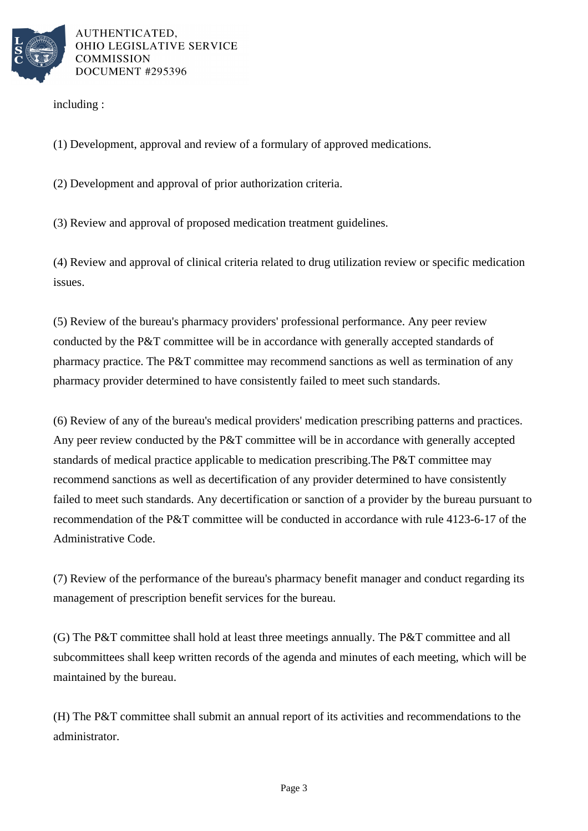

AUTHENTICATED. OHIO LEGISLATIVE SERVICE **COMMISSION** DOCUMENT #295396

including :

(1) Development, approval and review of a formulary of approved medications.

(2) Development and approval of prior authorization criteria.

(3) Review and approval of proposed medication treatment guidelines.

(4) Review and approval of clinical criteria related to drug utilization review or specific medication issues.

(5) Review of the bureau's pharmacy providers' professional performance. Any peer review conducted by the P&T committee will be in accordance with generally accepted standards of pharmacy practice. The P&T committee may recommend sanctions as well as termination of any pharmacy provider determined to have consistently failed to meet such standards.

(6) Review of any of the bureau's medical providers' medication prescribing patterns and practices. Any peer review conducted by the P&T committee will be in accordance with generally accepted standards of medical practice applicable to medication prescribing.The P&T committee may recommend sanctions as well as decertification of any provider determined to have consistently failed to meet such standards. Any decertification or sanction of a provider by the bureau pursuant to recommendation of the P&T committee will be conducted in accordance with rule 4123-6-17 of the Administrative Code.

(7) Review of the performance of the bureau's pharmacy benefit manager and conduct regarding its management of prescription benefit services for the bureau.

(G) The P&T committee shall hold at least three meetings annually. The P&T committee and all subcommittees shall keep written records of the agenda and minutes of each meeting, which will be maintained by the bureau.

(H) The P&T committee shall submit an annual report of its activities and recommendations to the administrator.